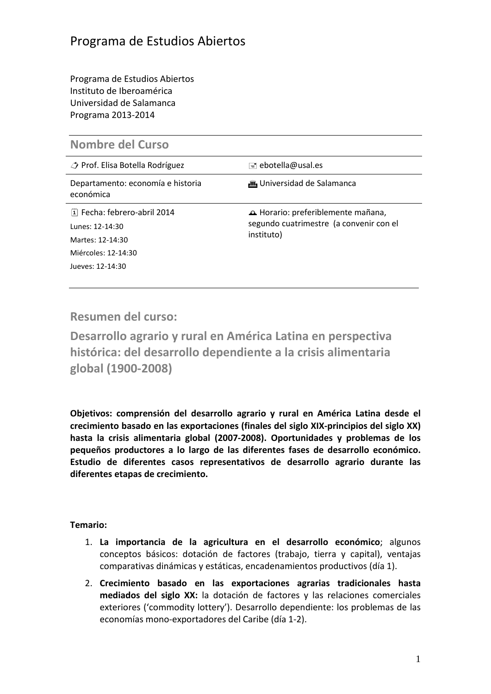Programa de Estudios Abiertos Instituto de Iberoamérica Universidad de Salamanca Programa 2013-2014

| <b>Nombre del Curso</b> |  |  |
|-------------------------|--|--|
|-------------------------|--|--|

| Prof. Elisa Botella Rodríguez                  | ≡  ebotella@usal.es                                                           |  |
|------------------------------------------------|-------------------------------------------------------------------------------|--|
| Departamento: economía e historia<br>económica | <b>in</b> Universidad de Salamanca                                            |  |
| [1] Fecha: febrero-abril 2014                  | A Horario: preferiblemente mañana,<br>segundo cuatrimestre (a convenir con el |  |
| Lunes: 12-14:30                                |                                                                               |  |
| Martes: 12-14:30                               | instituto)                                                                    |  |
| Miércoles: 12-14:30                            |                                                                               |  |
| Jueves: 12-14:30                               |                                                                               |  |
|                                                |                                                                               |  |

**Resumen del curso:** 

**Desarrollo agrario y rural en América Latina en perspectiva histórica: del desarrollo dependiente a la crisis alimentaria global (1900-2008)**

**Objetivos: comprensión del desarrollo agrario y rural en América Latina desde el crecimiento basado en las exportaciones (finales del siglo XIX-principios del siglo XX) hasta la crisis alimentaria global (2007-2008). Oportunidades y problemas de los pequeños productores a lo largo de las diferentes fases de desarrollo económico. Estudio de diferentes casos representativos de desarrollo agrario durante las diferentes etapas de crecimiento.**

### **Temario:**

- 1. **La importancia de la agricultura en el desarrollo económico**; algunos conceptos básicos: dotación de factores (trabajo, tierra y capital), ventajas comparativas dinámicas y estáticas, encadenamientos productivos (día 1).
- 2. **Crecimiento basado en las exportaciones agrarias tradicionales hasta mediados del siglo XX:** la dotación de factores y las relaciones comerciales exteriores ('commodity lottery'). Desarrollo dependiente: los problemas de las economías mono-exportadores del Caribe (día 1-2).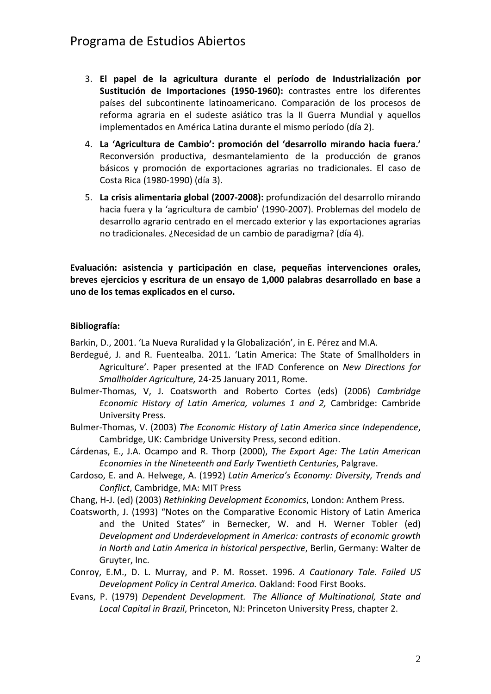# Programa de Estudios Abiertos

- 3. **El papel de la agricultura durante el período de Industrialización por Sustitución de Importaciones (1950-1960):** contrastes entre los diferentes países del subcontinente latinoamericano. Comparación de los procesos de reforma agraria en el sudeste asiático tras la II Guerra Mundial y aquellos implementados en América Latina durante el mismo período (día 2).
- 4. **La 'Agricultura de Cambio': promoción del 'desarrollo mirando hacia fuera.'** Reconversión productiva, desmantelamiento de la producción de granos básicos y promoción de exportaciones agrarias no tradicionales. El caso de Costa Rica (1980-1990) (día 3).
- 5. **La crisis alimentaria global (2007-2008):** profundización del desarrollo mirando hacia fuera y la 'agricultura de cambio' (1990-2007). Problemas del modelo de desarrollo agrario centrado en el mercado exterior y las exportaciones agrarias no tradicionales. ¿Necesidad de un cambio de paradigma? (día 4).

**Evaluación: asistencia y participación en clase, pequeñas intervenciones orales, breves ejercicios y escritura de un ensayo de 1,000 palabras desarrollado en base a uno de los temas explicados en el curso.**

#### **Bibliografía:**

Barkin, D., 2001. 'La Nueva Ruralidad y la Globalización', in E. Pérez and M.A.

- Berdegué, J. and R. Fuentealba. 2011. 'Latin America: The State of Smallholders in Agriculture'. Paper presented at the IFAD Conference on *New Directions for Smallholder Agriculture,* 24-25 January 2011, Rome.
- [Bulmer-Thomas, V, J. Coatsworth and Roberto Cortes \(eds\) \(2006\)](http://histories.cambridge.org/uid=3040/collection?id=set_cambridge_economic_history_latin_america) *Cambridge [Economic History of Latin America, volumes 1 and 2,](http://histories.cambridge.org/uid=3040/collection?id=set_cambridge_economic_history_latin_america)* Cambridge: Cambride [University Press.](http://histories.cambridge.org/uid=3040/collection?id=set_cambridge_economic_history_latin_america)
- Bulmer-Thomas, V. (2003) *The Economic History of Latin America since Independence*, Cambridge, UK: Cambridge University Press, second edition.
- Cárdenas, E., J.A. Ocampo and R. Thorp (2000), *The Export Age: The Latin American Economies in the Nineteenth and Early Twentieth Centuries*, Palgrave.
- Cardoso, E. and A. Helwege, A. (1992) *Latin America's Economy: Diversity, Trends and Conflict*, Cambridge, MA: MIT Press
- Chang, H-J. (ed) (2003) *Rethinking Development Economics*, London: Anthem Press.
- Coatsworth, J. (1993) "Notes on the Comparative Economic History of Latin America and the United States" in Bernecker, W. and H. Werner Tobler (ed) *Development and Underdevelopment in America: contrasts of economic growth in North and Latin America in historical perspective*, Berlin, Germany: Walter de Gruyter, Inc.
- Conroy, E.M., D. L. Murray, and P. M. Rosset. 1996. *A Cautionary Tale. Failed US Development Policy in Central America.* Oakland: Food First Books.
- Evans, P. (1979) *Dependent Development. The Alliance of Multinational, State and Local Capital in Brazil*, Princeton, NJ: Princeton University Press, chapter 2.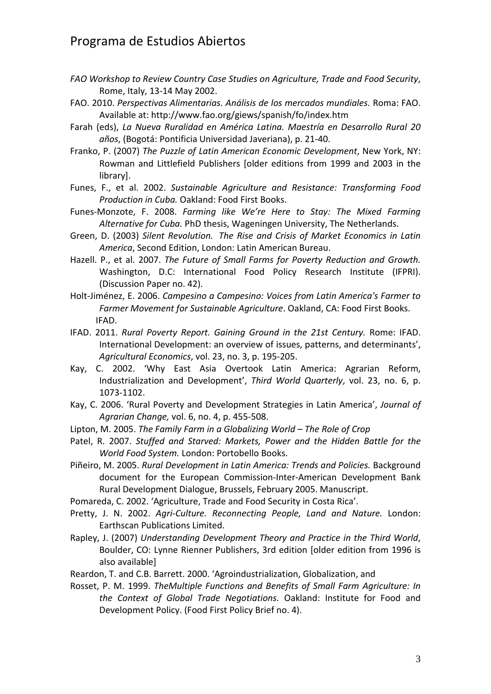## Programa de Estudios Abiertos

- *FAO Workshop to Review Country Case Studies on Agriculture, Trade and Food Security*, Rome, Italy, 13-14 May 2002.
- FAO. 2010. *Perspectivas Alimentarias. Análisis de los mercados mundiales.* Roma: FAO. Available at:<http://www.fao.org/giews/spanish/fo/index.htm>
- Farah (eds), *La Nueva Ruralidad en América Latina. Maestría en Desarrollo Rural 20 años*, (Bogotá: Pontificia Universidad Javeriana), p. 21-40.
- Franko, P. (2007) *The Puzzle of Latin American Economic Development*, New York, NY: Rowman and Littlefield Publishers [older editions from 1999 and 2003 in the library].
- Funes, F., et al. 2002. *Sustainable Agriculture and Resistance: Transforming Food Production in Cuba.* Oakland: Food First Books.
- Funes-Monzote, F. 2008. *Farming like We're Here to Stay: The Mixed Farming Alternative for Cuba.* PhD thesis, Wageningen University, The Netherlands.
- Green, D. (2003) *Silent Revolution. The Rise and Crisis of Market Economics in Latin America*, Second Edition, London: Latin American Bureau.
- Hazell. P., et al. 2007. *The Future of Small Farms for Poverty Reduction and Growth.*  Washington, D.C: International Food Policy Research Institute (IFPRI). (Discussion Paper no. 42).
- Holt-Jiménez, E. 2006. *Campesino a Campesino: Voices from Latin America's Farmer to Farmer Movement for Sustainable Agriculture*. Oakland, CA: Food First Books. IFAD.
- IFAD. 2011. *Rural Poverty Report. Gaining Ground in the 21st Century.* Rome: IFAD. International Development: an overview of issues, patterns, and determinants', *Agricultural Economics*, vol. 23, no. 3, p. 195-205.
- Kay, C. 2002. 'Why East Asia Overtook Latin America: Agrarian Reform, Industrialization and Development', *Third World Quarterly*, vol. 23, no. 6, p. 1073-1102.
- Kay, C. 2006. 'Rural Poverty and Development Strategies in Latin America', *Journal of Agrarian Change,* vol. 6, no. 4, p. 455-508.
- Lipton, M. 2005. *The Family Farm in a Globalizing World – The Role of Crop*
- Patel, R. 2007. *Stuffed and Starved: Markets, Power and the Hidden Battle for the World Food System.* London: Portobello Books.
- Piñeiro, M. 2005. *Rural Development in Latin America: Trends and Policies.* Background document for the European Commission-Inter-American Development Bank Rural Development Dialogue, Brussels, February 2005. Manuscript.
- Pomareda, C. 2002. 'Agriculture, Trade and Food Security in Costa Rica'.
- Pretty, J. N. 2002. *Agri-Culture. Reconnecting People, Land and Nature.* London: Earthscan Publications Limited.
- Rapley, J. (2007) *Understanding Development Theory and Practice in the Third World*, Boulder, CO: Lynne Rienner Publishers, 3rd edition [older edition from 1996 is also available]
- Reardon, T. and C.B. Barrett. 2000. 'Agroindustrialization, Globalization, and
- Rosset, P. M. 1999. *TheMultiple Functions and Benefits of Small Farm Agriculture: In the Context of Global Trade Negotiations.* Oakland: Institute for Food and Development Policy. (Food First Policy Brief no. 4).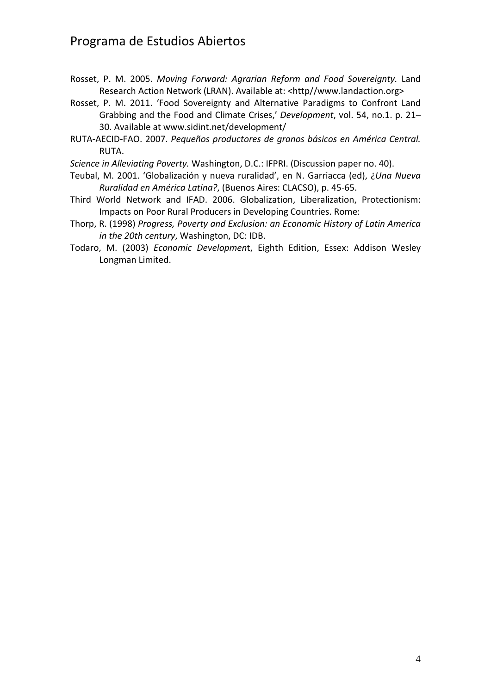# Programa de Estudios Abiertos

- Rosset, P. M. 2005. *Moving Forward: Agrarian Reform and Food Sovereignty.* Land Research Action Network (LRAN). Available at: <http//www.landaction.org>
- Rosset, P. M. 2011. 'Food Sovereignty and Alternative Paradigms to Confront Land Grabbing and the Food and Climate Crises,' *Development*, vol. 54, no.1. p. 21– 30. Available at [www.sidint.net/development/](http://www.sidint.net/development/)
- RUTA-AECID-FAO. 2007. *Pequeños productores de granos básicos en América Central.*  RUTA.

*Science in Alleviating Poverty.* Washington, D.C.: IFPRI. (Discussion paper no. 40).

- Teubal, M. 2001. 'Globalización y nueva ruralidad', en N. Garriacca (ed), ¿*Una Nueva Ruralidad en América Latina?*, (Buenos Aires: CLACSO), p. 45-65.
- Third World Network and IFAD. 2006. Globalization, Liberalization, Protectionism: Impacts on Poor Rural Producers in Developing Countries. Rome:
- Thorp, R. (1998) *Progress, Poverty and Exclusion: an Economic History of Latin America in the 20th century*, Washington, DC: IDB.
- Todaro, M. (2003) *Economic Developmen*t, Eighth Edition, Essex: Addison Wesley Longman Limited.